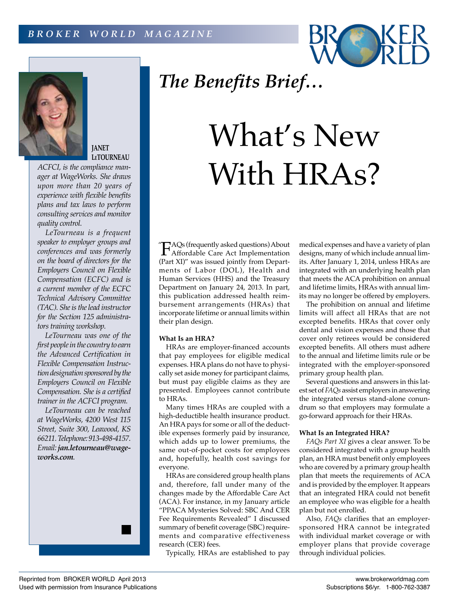



**JANET LeTOURNEAU**

*ACFCI, is the compliance manager at WageWorks. She draws upon more than 20 years of experience with flexible benefits plans and tax laws to perform consulting services and monitor quality control.*

*LeTourneau is a frequent speaker to employer groups and conferences and was formerly on the board of directors for the Employers Council on Flexible Compensation (ECFC) and is a current member of the ECFC Technical Advisory Committee (TAC). She is the lead instructor for the Section 125 administrators training workshop.*

*LeTourneau was one of the first people in the country to earn the Advanced Certification in Flexible Compensation Instruction designation sponsored by the Employers Council on Flexible Compensation. She is a certified trainer in the ACFCI program.*

*LeTourneau can be reached at WageWorks, 4200 West 115 Street, Suite 300, Leawood, KS 66211. Telephone: 913-498-4157. Email: jan.letourneau@wageworks.com.*



everyone. HRAs are considered group health plans and, therefore, fall under many of the changes made by the Affordable Care Act (ACA). For instance, in my January article "PPACA Mysteries Solved: SBC And CER Fee Requirements Revealed" I discussed summary of benefit coverage (SBC) require-

FAQs (frequently asked questions) About Affordable Care Act Implementation (Part XI)" was issued jointly from Departments of Labor (DOL), Health and Human Services (HHS) and the Treasury Department on January 24, 2013. In part, this publication addressed health reimbursement arrangements (HRAs) that incorporate lifetime or annual limits within

*The Benefits Brief…*

What's New

With HRAs?

HRAs are employer-financed accounts that pay employees for eligible medical expenses. HRA plans do not have to physically set aside money for participant claims, but must pay eligible claims as they are presented. Employees cannot contribute

Many times HRAs are coupled with a high-deductible health insurance product. An HRA pays for some or all of the deductible expenses formerly paid by insurance, which adds up to lower premiums, the same out-of-pocket costs for employees and, hopefully, health cost savings for

their plan design.

"

**What Is an HRA?**

to HRAs.

research (CER) fees. Typically, HRAs are established to pay

ments and comparative effectiveness

medical expenses and have a variety of plan designs, many of which include annual limits. After January 1, 2014, unless HRAs are integrated with an underlying health plan that meets the ACA prohibition on annual and lifetime limits, HRAs with annual limits may no longer be offered by employers.

The prohibition on annual and lifetime limits will affect all HRAs that are not excepted benefits. HRAs that cover only dental and vision expenses and those that cover only retirees would be considered excepted benefits. All others must adhere to the annual and lifetime limits rule or be integrated with the employer-sponsored primary group health plan.

Several questions and answers in this latest set of *FAQs* assist employers in answering the integrated versus stand-alone conundrum so that employers may formulate a go-forward approach for their HRAs.

## **What Is an Integrated HRA?**

*FAQs Part XI* gives a clear answer. To be considered integrated with a group health plan, an HRA must benefit only employees who are covered by a primary group health plan that meets the requirements of ACA and is provided by the employer. It appears that an integrated HRA could not benefit an employee who was eligible for a health plan but not enrolled.

Also, *FAQs* clarifies that an employersponsored HRA cannot be integrated with individual market coverage or with employer plans that provide coverage through individual policies.